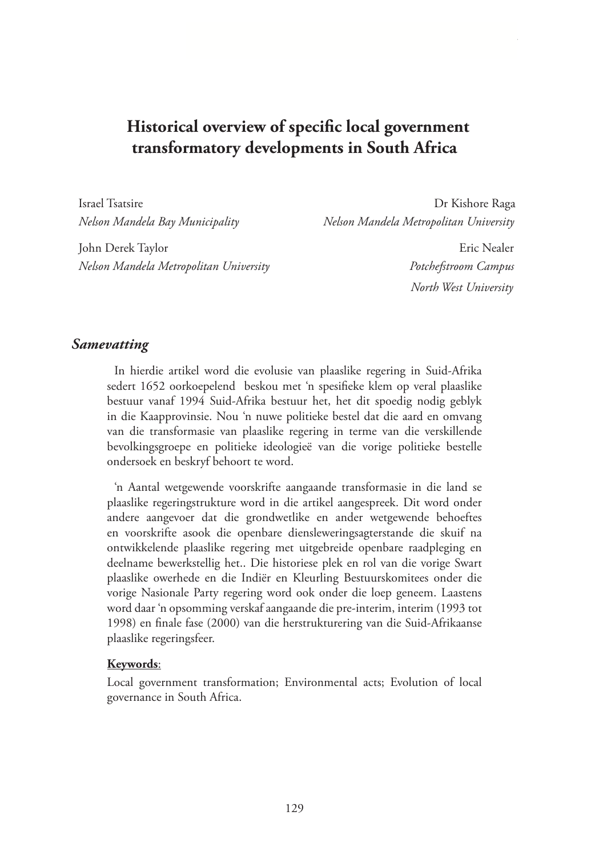# **Historical overview of specific local government transformatory developments in South Africa**

Israel Tsatsire Dr Kishore Raga

*Nelson Mandela Bay Municipality Nelson Mandela Metropolitan University*

John Derek Taylor Eric Nealer *Nelson Mandela Metropolitan University Potchefstroom Campus*

 *North West University*

#### *Samevatting*

In hierdie artikel word die evolusie van plaaslike regering in Suid-Afrika sedert 1652 oorkoepelend beskou met 'n spesifieke klem op veral plaaslike bestuur vanaf 1994 Suid-Afrika bestuur het, het dit spoedig nodig geblyk in die Kaapprovinsie. Nou 'n nuwe politieke bestel dat die aard en omvang van die transformasie van plaaslike regering in terme van die verskillende bevolkingsgroepe en politieke ideologieë van die vorige politieke bestelle ondersoek en beskryf behoort te word.

'n Aantal wetgewende voorskrifte aangaande transformasie in die land se plaaslike regeringstrukture word in die artikel aangespreek. Dit word onder andere aangevoer dat die grondwetlike en ander wetgewende behoeftes en voorskrifte asook die openbare diensleweringsagterstande die skuif na ontwikkelende plaaslike regering met uitgebreide openbare raadpleging en deelname bewerkstellig het.. Die historiese plek en rol van die vorige Swart plaaslike owerhede en die Indiër en Kleurling Bestuurskomitees onder die vorige Nasionale Party regering word ook onder die loep geneem. Laastens word daar 'n opsomming verskaf aangaande die pre-interim, interim (1993 tot 1998) en finale fase (2000) van die herstrukturering van die Suid-Afrikaanse plaaslike regeringsfeer.

#### **Keywords**:

Local government transformation; Environmental acts; Evolution of local governance in South Africa.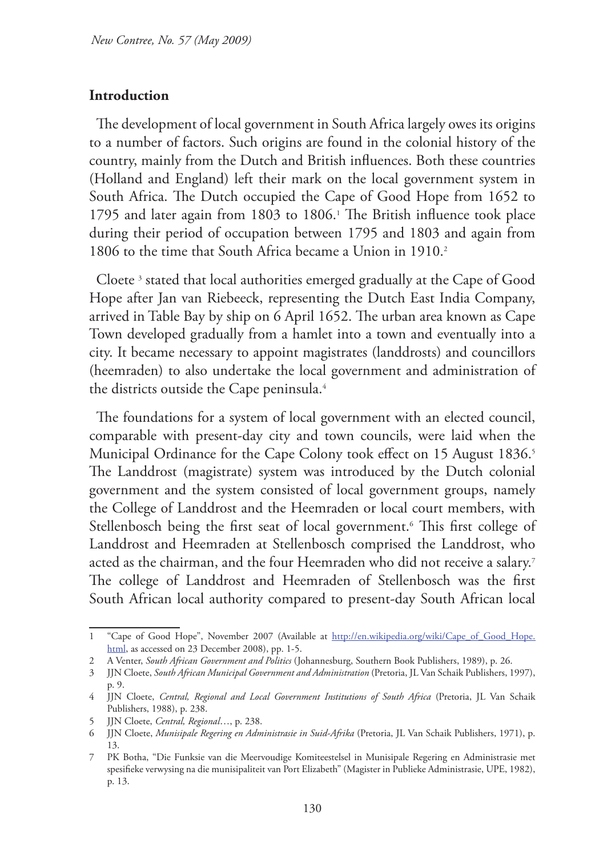#### **Introduction**

The development of local government in South Africa largely owes its origins to a number of factors. Such origins are found in the colonial history of the country, mainly from the Dutch and British influences. Both these countries (Holland and England) left their mark on the local government system in South Africa. The Dutch occupied the Cape of Good Hope from 1652 to 1795 and later again from 1803 to 1806.<sup>1</sup> The British influence took place during their period of occupation between 1795 and 1803 and again from 1806 to the time that South Africa became a Union in 1910.2

Cloete 3 stated that local authorities emerged gradually at the Cape of Good Hope after Jan van Riebeeck, representing the Dutch East India Company, arrived in Table Bay by ship on 6 April 1652. The urban area known as Cape Town developed gradually from a hamlet into a town and eventually into a city. It became necessary to appoint magistrates (landdrosts) and councillors (heemraden) to also undertake the local government and administration of the districts outside the Cape peninsula.<sup>4</sup>

The foundations for a system of local government with an elected council, comparable with present-day city and town councils, were laid when the Municipal Ordinance for the Cape Colony took effect on 15 August 1836.<sup>5</sup> The Landdrost (magistrate) system was introduced by the Dutch colonial government and the system consisted of local government groups, namely the College of Landdrost and the Heemraden or local court members, with Stellenbosch being the first seat of local government.6 This first college of Landdrost and Heemraden at Stellenbosch comprised the Landdrost, who acted as the chairman, and the four Heemraden who did not receive a salary.<sup>7</sup> The college of Landdrost and Heemraden of Stellenbosch was the first South African local authority compared to present-day South African local

<sup>1 &</sup>quot;Cape of Good Hope", November 2007 (Available at http://en.wikipedia.org/wiki/Cape\_of\_Good\_Hope. html, as accessed on 23 December 2008), pp. 1-5.

<sup>2</sup> A Venter, *South African Government and Politics* (Johannesburg, Southern Book Publishers, 1989), p. 26.

<sup>3</sup> JJN Cloete, *South African Municipal Government and Administration* (Pretoria, JL Van Schaik Publishers, 1997), p. 9.

<sup>4</sup> JJN Cloete, *Central, Regional and Local Government Institutions of South Africa* (Pretoria, JL Van Schaik Publishers, 1988), p. 238.

<sup>5</sup> JJN Cloete, *Central, Regional*…, p. 238.

<sup>6</sup> JJN Cloete, *Munisipale Regering en Administrasie in Suid-Afrika* (Pretoria, JL Van Schaik Publishers, 1971), p. 13.

<sup>7</sup> PK Botha, "Die Funksie van die Meervoudige Komiteestelsel in Munisipale Regering en Administrasie met spesifieke verwysing na die munisipaliteit van Port Elizabeth" (Magister in Publieke Administrasie, UPE, 1982), p. 13.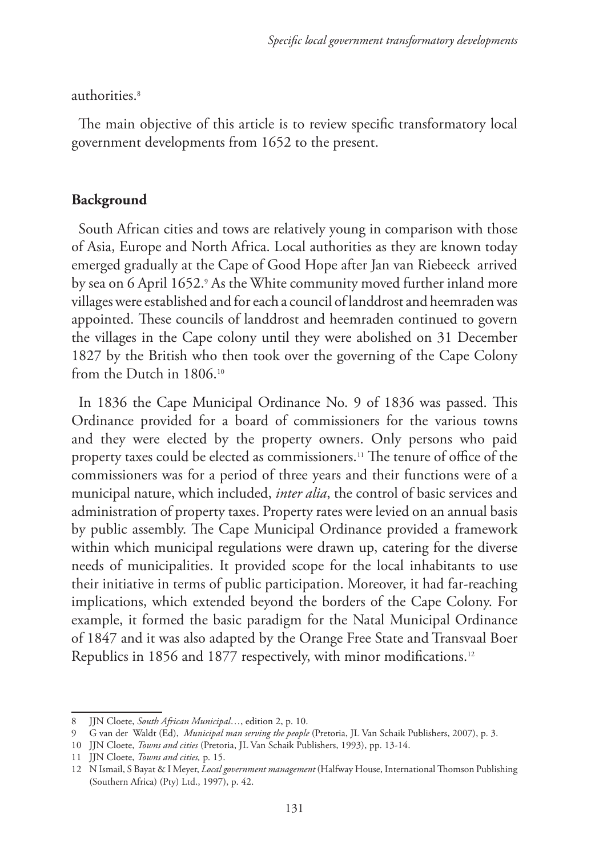authorities.<sup>8</sup>

The main objective of this article is to review specific transformatory local government developments from 1652 to the present.

### **Background**

South African cities and tows are relatively young in comparison with those of Asia, Europe and North Africa. Local authorities as they are known today emerged gradually at the Cape of Good Hope after Jan van Riebeeck arrived by sea on 6 April 1652.<sup>,</sup> As the White community moved further inland more villages were established and for each a council of landdrost and heemraden was appointed. These councils of landdrost and heemraden continued to govern the villages in the Cape colony until they were abolished on 31 December 1827 by the British who then took over the governing of the Cape Colony from the Dutch in 1806.<sup>10</sup>

In 1836 the Cape Municipal Ordinance No. 9 of 1836 was passed. This Ordinance provided for a board of commissioners for the various towns and they were elected by the property owners. Only persons who paid property taxes could be elected as commissioners.<sup>11</sup> The tenure of office of the commissioners was for a period of three years and their functions were of a municipal nature, which included, *inter alia*, the control of basic services and administration of property taxes. Property rates were levied on an annual basis by public assembly. The Cape Municipal Ordinance provided a framework within which municipal regulations were drawn up, catering for the diverse needs of municipalities. It provided scope for the local inhabitants to use their initiative in terms of public participation. Moreover, it had far-reaching implications, which extended beyond the borders of the Cape Colony. For example, it formed the basic paradigm for the Natal Municipal Ordinance of 1847 and it was also adapted by the Orange Free State and Transvaal Boer Republics in 1856 and 1877 respectively, with minor modifications.12

<sup>8</sup> JJN Cloete, *South African Municipal*…, edition 2, p. 10.

<sup>9</sup> G van der Waldt (Ed), *Municipal man serving the people* (Pretoria, JL Van Schaik Publishers, 2007), p. 3.

<sup>10</sup> JJN Cloete, *Towns and cities* (Pretoria, JL Van Schaik Publishers, 1993), pp. 13-14.

<sup>11</sup> JJN Cloete, *Towns and cities,* p. 15.

<sup>12</sup> N Ismail, S Bayat & I Meyer, *Local government management* (Halfway House, International Thomson Publishing (Southern Africa) (Pty) Ltd., 1997), p. 42.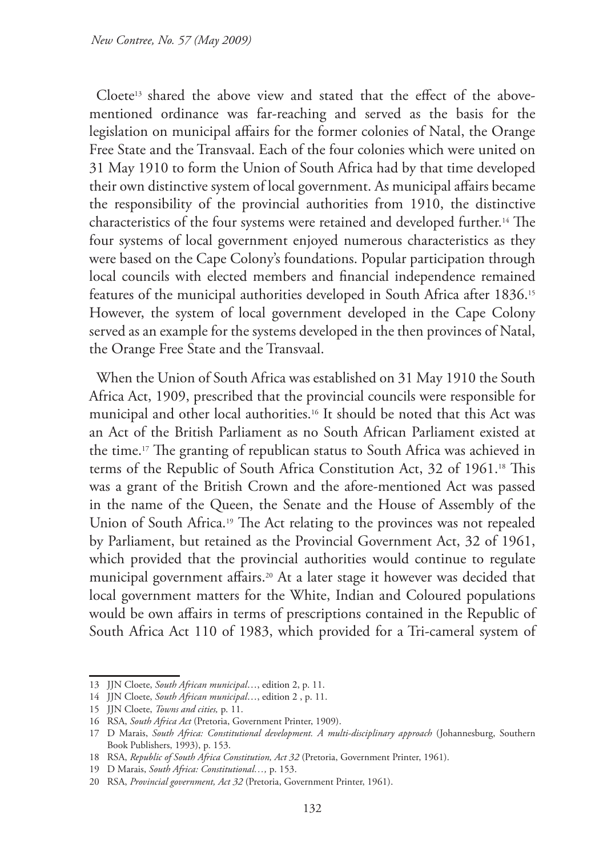Cloete<sup>13</sup> shared the above view and stated that the effect of the abovementioned ordinance was far-reaching and served as the basis for the legislation on municipal affairs for the former colonies of Natal, the Orange Free State and the Transvaal. Each of the four colonies which were united on 31 May 1910 to form the Union of South Africa had by that time developed their own distinctive system of local government. As municipal affairs became the responsibility of the provincial authorities from 1910, the distinctive characteristics of the four systems were retained and developed further.14 The four systems of local government enjoyed numerous characteristics as they were based on the Cape Colony's foundations. Popular participation through local councils with elected members and financial independence remained features of the municipal authorities developed in South Africa after 1836.<sup>15</sup> However, the system of local government developed in the Cape Colony served as an example for the systems developed in the then provinces of Natal, the Orange Free State and the Transvaal.

When the Union of South Africa was established on 31 May 1910 the South Africa Act, 1909, prescribed that the provincial councils were responsible for municipal and other local authorities.16 It should be noted that this Act was an Act of the British Parliament as no South African Parliament existed at the time.17 The granting of republican status to South Africa was achieved in terms of the Republic of South Africa Constitution Act, 32 of 1961.<sup>18</sup> This was a grant of the British Crown and the afore-mentioned Act was passed in the name of the Queen, the Senate and the House of Assembly of the Union of South Africa.<sup>19</sup> The Act relating to the provinces was not repealed by Parliament, but retained as the Provincial Government Act, 32 of 1961, which provided that the provincial authorities would continue to regulate municipal government affairs.20 At a later stage it however was decided that local government matters for the White, Indian and Coloured populations would be own affairs in terms of prescriptions contained in the Republic of South Africa Act 110 of 1983, which provided for a Tri-cameral system of

<sup>13</sup> JJN Cloete, *South African municipal*…, edition 2, p. 11.

<sup>14</sup> JJN Cloete, *South African municipal*…, edition 2 , p. 11.

<sup>15</sup> JJN Cloete, *Towns and cities,* p. 11.

<sup>16</sup> RSA, *South Africa Act* (Pretoria, Government Printer, 1909).

<sup>17</sup> D Marais, *South Africa: Constitutional development. A multi-disciplinary approach* (Johannesburg, Southern Book Publishers, 1993), p. 153.

<sup>18</sup> RSA, *Republic of South Africa Constitution, Act 32* (Pretoria, Government Printer, 1961).

<sup>19</sup> D Marais, *South Africa: Constitutional…,* p. 153.

<sup>20</sup> RSA, *Provincial government, Act 32* (Pretoria, Government Printer, 1961).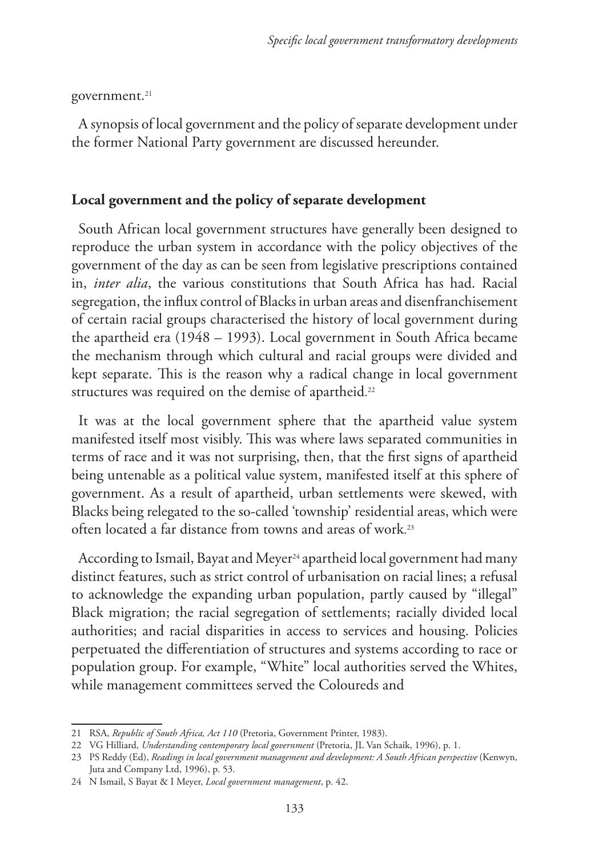government.<sup>21</sup>

A synopsis of local government and the policy of separate development under the former National Party government are discussed hereunder.

#### **Local government and the policy of separate development**

South African local government structures have generally been designed to reproduce the urban system in accordance with the policy objectives of the government of the day as can be seen from legislative prescriptions contained in, *inter alia*, the various constitutions that South Africa has had. Racial segregation, the influx control of Blacks in urban areas and disenfranchisement of certain racial groups characterised the history of local government during the apartheid era (1948 – 1993). Local government in South Africa became the mechanism through which cultural and racial groups were divided and kept separate. This is the reason why a radical change in local government structures was required on the demise of apartheid. $^{\scriptscriptstyle 22}$ 

It was at the local government sphere that the apartheid value system manifested itself most visibly. This was where laws separated communities in terms of race and it was not surprising, then, that the first signs of apartheid being untenable as a political value system, manifested itself at this sphere of government. As a result of apartheid, urban settlements were skewed, with Blacks being relegated to the so-called 'township' residential areas, which were often located a far distance from towns and areas of work. 23

According to Ismail, Bayat and Meyer<sup>24</sup> apartheid local government had many distinct features, such as strict control of urbanisation on racial lines; a refusal to acknowledge the expanding urban population, partly caused by "illegal" Black migration; the racial segregation of settlements; racially divided local authorities; and racial disparities in access to services and housing. Policies perpetuated the differentiation of structures and systems according to race or population group. For example, "White" local authorities served the Whites, while management committees served the Coloureds and

<sup>21</sup> RSA, *Republic of South Africa, Act 110* (Pretoria, Government Printer, 1983).

<sup>22</sup> VG Hilliard, *Understanding contemporary local government* (Pretoria, JL Van Schaik, 1996), p. 1.

<sup>23</sup> PS Reddy (Ed), *Readings in local government management and development: A South African perspective* (Kenwyn, Juta and Company Ltd, 1996), p. 53.

<sup>24</sup> N Ismail, S Bayat & I Meyer, *Local government management*, p. 42.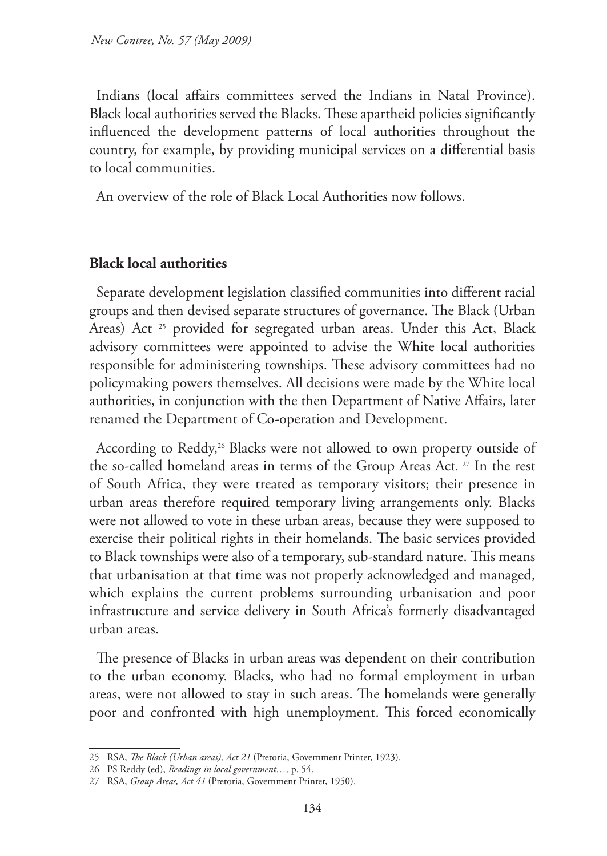Indians (local affairs committees served the Indians in Natal Province). Black local authorities served the Blacks. These apartheid policies significantly influenced the development patterns of local authorities throughout the country, for example, by providing municipal services on a differential basis to local communities.

An overview of the role of Black Local Authorities now follows.

#### **Black local authorities**

Separate development legislation classified communities into different racial groups and then devised separate structures of governance. The Black (Urban Areas) Act <sup>25</sup> provided for segregated urban areas. Under this Act, Black advisory committees were appointed to advise the White local authorities responsible for administering townships. These advisory committees had no policymaking powers themselves. All decisions were made by the White local authorities, in conjunction with the then Department of Native Affairs, later renamed the Department of Co-operation and Development.

According to Reddy,<sup>26</sup> Blacks were not allowed to own property outside of the so-called homeland areas in terms of the Group Areas Act. 27 In the rest of South Africa, they were treated as temporary visitors; their presence in urban areas therefore required temporary living arrangements only. Blacks were not allowed to vote in these urban areas, because they were supposed to exercise their political rights in their homelands. The basic services provided to Black townships were also of a temporary, sub-standard nature. This means that urbanisation at that time was not properly acknowledged and managed, which explains the current problems surrounding urbanisation and poor infrastructure and service delivery in South Africa's formerly disadvantaged urban areas.

The presence of Blacks in urban areas was dependent on their contribution to the urban economy. Blacks, who had no formal employment in urban areas, were not allowed to stay in such areas. The homelands were generally poor and confronted with high unemployment. This forced economically

<sup>25</sup> RSA, *The Black (Urban areas), Act 21* (Pretoria, Government Printer, 1923).

<sup>26</sup> PS Reddy (ed), *Readings in local government…,* p. 54.

<sup>27</sup> RSA, *Group Areas, Act 41* (Pretoria, Government Printer, 1950).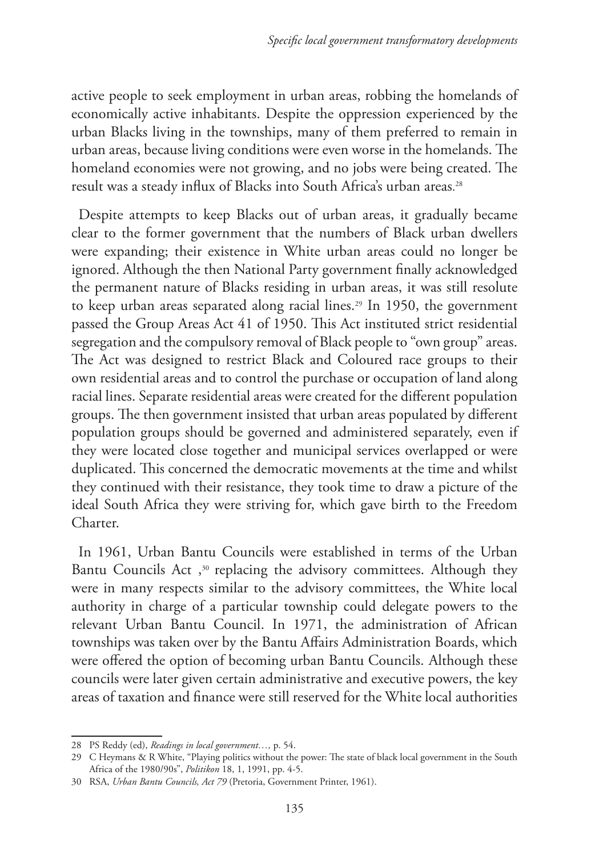active people to seek employment in urban areas, robbing the homelands of economically active inhabitants. Despite the oppression experienced by the urban Blacks living in the townships, many of them preferred to remain in urban areas, because living conditions were even worse in the homelands. The homeland economies were not growing, and no jobs were being created. The result was a steady influx of Blacks into South Africa's urban areas. 28

Despite attempts to keep Blacks out of urban areas, it gradually became clear to the former government that the numbers of Black urban dwellers were expanding; their existence in White urban areas could no longer be ignored. Although the then National Party government finally acknowledged the permanent nature of Blacks residing in urban areas, it was still resolute to keep urban areas separated along racial lines.<sup>29</sup> In 1950, the government passed the Group Areas Act 41 of 1950. This Act instituted strict residential segregation and the compulsory removal of Black people to "own group" areas. The Act was designed to restrict Black and Coloured race groups to their own residential areas and to control the purchase or occupation of land along racial lines. Separate residential areas were created for the different population groups. The then government insisted that urban areas populated by different population groups should be governed and administered separately, even if they were located close together and municipal services overlapped or were duplicated. This concerned the democratic movements at the time and whilst they continued with their resistance, they took time to draw a picture of the ideal South Africa they were striving for, which gave birth to the Freedom Charter.

In 1961, Urban Bantu Councils were established in terms of the Urban Bantu Councils Act,<sup>30</sup> replacing the advisory committees. Although they were in many respects similar to the advisory committees, the White local authority in charge of a particular township could delegate powers to the relevant Urban Bantu Council. In 1971, the administration of African townships was taken over by the Bantu Affairs Administration Boards, which were offered the option of becoming urban Bantu Councils. Although these councils were later given certain administrative and executive powers, the key areas of taxation and finance were still reserved for the White local authorities

<sup>28</sup> PS Reddy (ed), *Readings in local government…,* p. 54.

<sup>29</sup> C Heymans & R White, "Playing politics without the power: The state of black local government in the South Africa of the 1980/90s", *Politikon* 18, 1, 1991, pp. 4-5.

<sup>30</sup> RSA, *Urban Bantu Councils, Act 79* (Pretoria, Government Printer, 1961).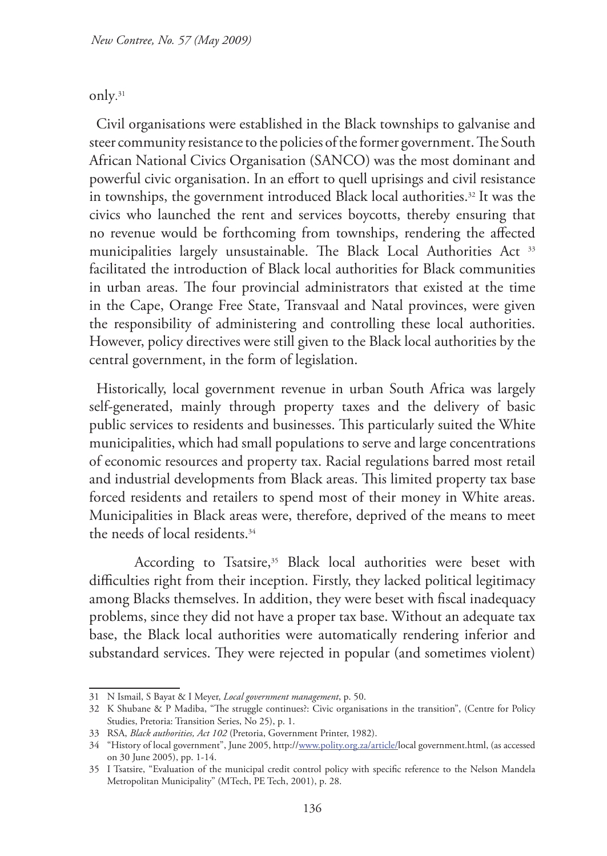#### only. 31

Civil organisations were established in the Black townships to galvanise and steer community resistance to the policies of the former government. The South African National Civics Organisation (SANCO) was the most dominant and powerful civic organisation. In an effort to quell uprisings and civil resistance in townships, the government introduced Black local authorities.<sup>32</sup> It was the civics who launched the rent and services boycotts, thereby ensuring that no revenue would be forthcoming from townships, rendering the affected municipalities largely unsustainable. The Black Local Authorities Act 33 facilitated the introduction of Black local authorities for Black communities in urban areas. The four provincial administrators that existed at the time in the Cape, Orange Free State, Transvaal and Natal provinces, were given the responsibility of administering and controlling these local authorities. However, policy directives were still given to the Black local authorities by the central government, in the form of legislation.

Historically, local government revenue in urban South Africa was largely self-generated, mainly through property taxes and the delivery of basic public services to residents and businesses. This particularly suited the White municipalities, which had small populations to serve and large concentrations of economic resources and property tax. Racial regulations barred most retail and industrial developments from Black areas. This limited property tax base forced residents and retailers to spend most of their money in White areas. Municipalities in Black areas were, therefore, deprived of the means to meet the needs of local residents.<sup>34</sup>

According to Tsatsire,<sup>35</sup> Black local authorities were beset with difficulties right from their inception. Firstly, they lacked political legitimacy among Blacks themselves. In addition, they were beset with fiscal inadequacy problems, since they did not have a proper tax base. Without an adequate tax base, the Black local authorities were automatically rendering inferior and substandard services. They were rejected in popular (and sometimes violent)

<sup>31</sup> N Ismail, S Bayat & I Meyer, *Local government management*, p. 50.

<sup>32</sup> K Shubane & P Madiba, "The struggle continues?: Civic organisations in the transition", (Centre for Policy Studies, Pretoria: Transition Series, No 25), p. 1.

<sup>33</sup> RSA, *Black authorities, Act 102* (Pretoria, Government Printer, 1982).

<sup>34</sup> "History of local government", June 2005, http://www.polity.org.za/article/local government.html, (as accessed on 30 June 2005), pp. 1-14.

<sup>35</sup> I Tsatsire, "Evaluation of the municipal credit control policy with specific reference to the Nelson Mandela Metropolitan Municipality" (MTech, PE Tech, 2001), p. 28.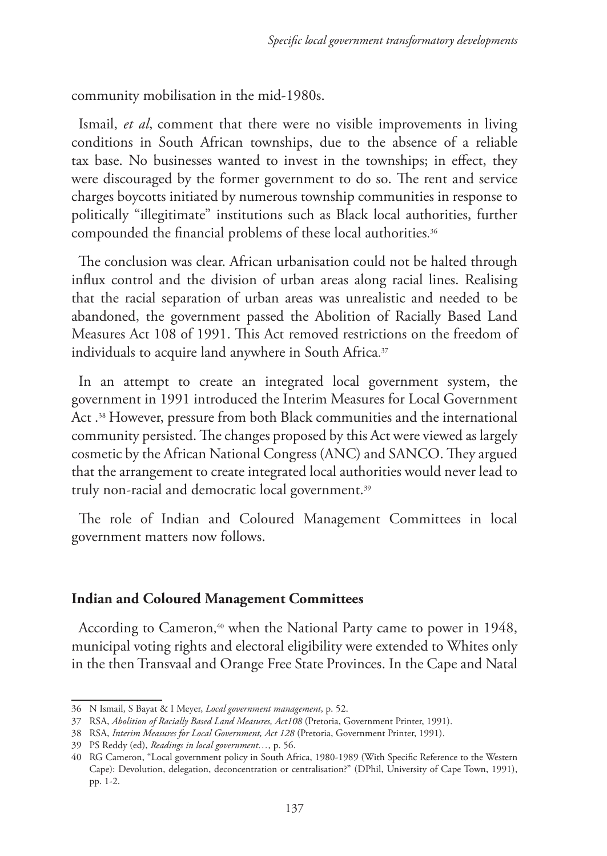community mobilisation in the mid-1980s.

Ismail, *et al*, comment that there were no visible improvements in living conditions in South African townships, due to the absence of a reliable tax base. No businesses wanted to invest in the townships; in effect, they were discouraged by the former government to do so. The rent and service charges boycotts initiated by numerous township communities in response to politically "illegitimate" institutions such as Black local authorities, further compounded the financial problems of these local authorities. 36

The conclusion was clear. African urbanisation could not be halted through influx control and the division of urban areas along racial lines. Realising that the racial separation of urban areas was unrealistic and needed to be abandoned, the government passed the Abolition of Racially Based Land Measures Act 108 of 1991. This Act removed restrictions on the freedom of individuals to acquire land anywhere in South Africa. 37

In an attempt to create an integrated local government system, the government in 1991 introduced the Interim Measures for Local Government Act .38 However, pressure from both Black communities and the international community persisted. The changes proposed by this Act were viewed as largely cosmetic by the African National Congress (ANC) and SANCO. They argued that the arrangement to create integrated local authorities would never lead to truly non-racial and democratic local government.<sup>39</sup>

The role of Indian and Coloured Management Committees in local government matters now follows.

#### **Indian and Coloured Management Committees**

According to Cameron, 40 when the National Party came to power in 1948, municipal voting rights and electoral eligibility were extended to Whites only in the then Transvaal and Orange Free State Provinces. In the Cape and Natal

<sup>36</sup> N Ismail, S Bayat & I Meyer, *Local government management*, p. 52.

<sup>37</sup> RSA, *Abolition of Racially Based Land Measures, Act108* (Pretoria, Government Printer, 1991).

<sup>38</sup> RSA, *Interim Measures for Local Government, Act 128* (Pretoria, Government Printer, 1991).

<sup>39</sup> PS Reddy (ed), *Readings in local government…,* p. 56.

<sup>40</sup> RG Cameron, "Local government policy in South Africa, 1980-1989 (With Specific Reference to the Western Cape): Devolution, delegation, deconcentration or centralisation?" (DPhil, University of Cape Town, 1991), pp. 1-2.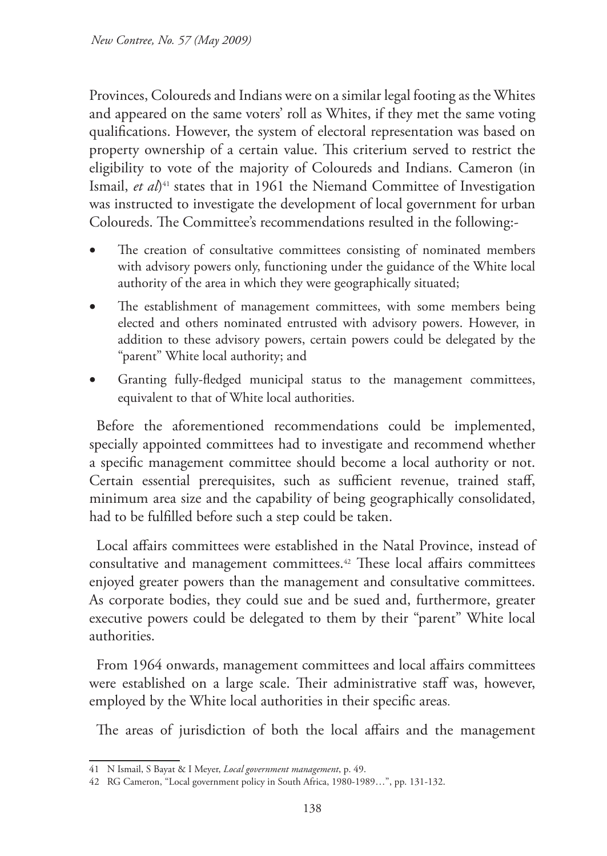Provinces, Coloureds and Indians were on a similar legal footing as the Whites and appeared on the same voters' roll as Whites, if they met the same voting qualifications. However, the system of electoral representation was based on property ownership of a certain value. This criterium served to restrict the eligibility to vote of the majority of Coloureds and Indians. Cameron (in Ismail, *et al*)<sup>41</sup> states that in 1961 the Niemand Committee of Investigation was instructed to investigate the development of local government for urban Coloureds. The Committee's recommendations resulted in the following:-

- The creation of consultative committees consisting of nominated members with advisory powers only, functioning under the guidance of the White local authority of the area in which they were geographically situated;
- The establishment of management committees, with some members being elected and others nominated entrusted with advisory powers. However, in addition to these advisory powers, certain powers could be delegated by the "parent" White local authority; and
- Granting fully-fledged municipal status to the management committees, equivalent to that of White local authorities.

Before the aforementioned recommendations could be implemented, specially appointed committees had to investigate and recommend whether a specific management committee should become a local authority or not. Certain essential prerequisites, such as sufficient revenue, trained staff, minimum area size and the capability of being geographically consolidated, had to be fulfilled before such a step could be taken.

Local affairs committees were established in the Natal Province, instead of consultative and management committees.42 These local affairs committees enjoyed greater powers than the management and consultative committees. As corporate bodies, they could sue and be sued and, furthermore, greater executive powers could be delegated to them by their "parent" White local authorities.

From 1964 onwards, management committees and local affairs committees were established on a large scale. Their administrative staff was, however, employed by the White local authorities in their specific areas.

The areas of jurisdiction of both the local affairs and the management

<sup>41</sup> N Ismail, S Bayat & I Meyer, *Local government management*, p. 49.

<sup>42</sup> RG Cameron, "Local government policy in South Africa, 1980-1989…", pp. 131-132.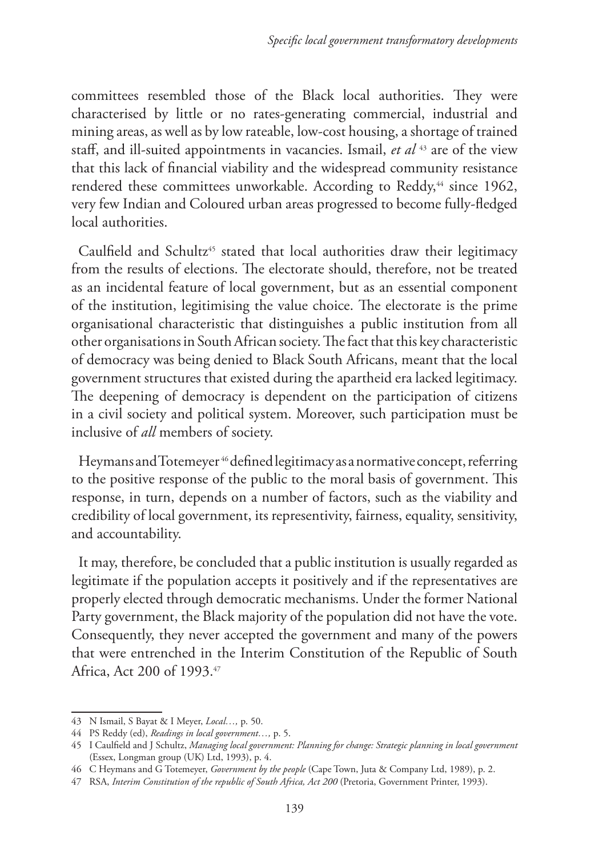committees resembled those of the Black local authorities. They were characterised by little or no rates-generating commercial, industrial and mining areas, as well as by low rateable, low-cost housing, a shortage of trained staff, and ill-suited appointments in vacancies. Ismail, *et al* 43 are of the view that this lack of financial viability and the widespread community resistance rendered these committees unworkable. According to Reddy,<sup>44</sup> since 1962, very few Indian and Coloured urban areas progressed to become fully-fledged local authorities.

Caulfield and Schultz<sup>45</sup> stated that local authorities draw their legitimacy from the results of elections. The electorate should, therefore, not be treated as an incidental feature of local government, but as an essential component of the institution, legitimising the value choice. The electorate is the prime organisational characteristic that distinguishes a public institution from all other organisations in South African society. The fact that this key characteristic of democracy was being denied to Black South Africans, meant that the local government structures that existed during the apartheid era lacked legitimacy. The deepening of democracy is dependent on the participation of citizens in a civil society and political system. Moreover, such participation must be inclusive of *all* members of society.

Heymans and Totemeyer 46 defined legitimacy as a normative concept, referring to the positive response of the public to the moral basis of government. This response, in turn, depends on a number of factors, such as the viability and credibility of local government, its representivity, fairness, equality, sensitivity, and accountability.

It may, therefore, be concluded that a public institution is usually regarded as legitimate if the population accepts it positively and if the representatives are properly elected through democratic mechanisms. Under the former National Party government, the Black majority of the population did not have the vote. Consequently, they never accepted the government and many of the powers that were entrenched in the Interim Constitution of the Republic of South Africa, Act 200 of 1993.47

<sup>43</sup> N Ismail, S Bayat & I Meyer, *Local…,* p. 50.

<sup>44</sup> PS Reddy (ed), *Readings in local government…,* p. 5.

<sup>45</sup> I Caulfield and J Schultz, *Managing local government: Planning for change: Strategic planning in local government*  (Essex, Longman group (UK) Ltd, 1993), p. 4.

<sup>46</sup> C Heymans and G Totemeyer, *Government by the people* (Cape Town, Juta & Company Ltd, 1989), p. 2.

<sup>47</sup> RSA, *Interim Constitution of the republic of South Africa, Act 200* (Pretoria, Government Printer, 1993).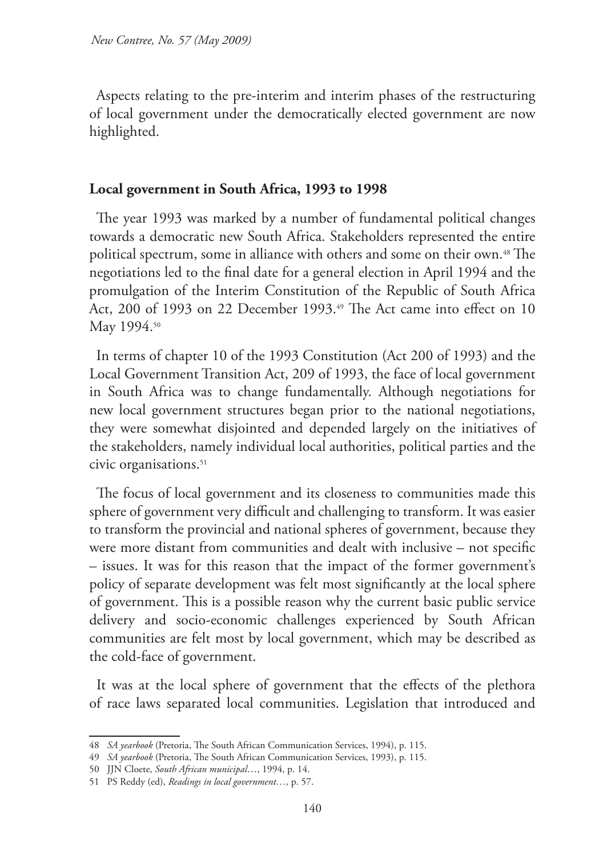Aspects relating to the pre-interim and interim phases of the restructuring of local government under the democratically elected government are now highlighted.

### **Local government in South Africa, 1993 to 1998**

The year 1993 was marked by a number of fundamental political changes towards a democratic new South Africa. Stakeholders represented the entire political spectrum, some in alliance with others and some on their own.48 The negotiations led to the final date for a general election in April 1994 and the promulgation of the Interim Constitution of the Republic of South Africa Act, 200 of 1993 on 22 December 1993.<sup>49</sup> The Act came into effect on 10 May 1994.<sup>50</sup>

In terms of chapter 10 of the 1993 Constitution (Act 200 of 1993) and the Local Government Transition Act, 209 of 1993, the face of local government in South Africa was to change fundamentally. Although negotiations for new local government structures began prior to the national negotiations, they were somewhat disjointed and depended largely on the initiatives of the stakeholders, namely individual local authorities, political parties and the civic organisations.<sup>51</sup>

The focus of local government and its closeness to communities made this sphere of government very difficult and challenging to transform. It was easier to transform the provincial and national spheres of government, because they were more distant from communities and dealt with inclusive – not specific – issues. It was for this reason that the impact of the former government's policy of separate development was felt most significantly at the local sphere of government. This is a possible reason why the current basic public service delivery and socio-economic challenges experienced by South African communities are felt most by local government, which may be described as the cold-face of government.

It was at the local sphere of government that the effects of the plethora of race laws separated local communities. Legislation that introduced and

<sup>48</sup> *SA yearbook* (Pretoria, The South African Communication Services, 1994), p. 115.

<sup>49</sup> *SA yearbook* (Pretoria, The South African Communication Services, 1993), p. 115.

<sup>50</sup> JJN Cloete, *South African municipal*…, 1994, p. 14.

<sup>51</sup> PS Reddy (ed), *Readings in local government…,* p. 57.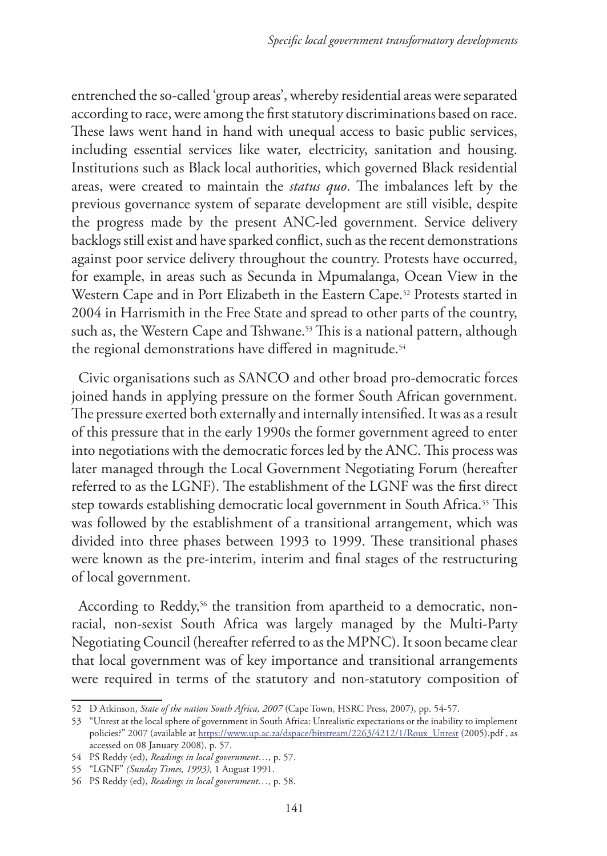entrenched the so-called 'group areas', whereby residential areas were separated according to race, were among the first statutory discriminations based on race. These laws went hand in hand with unequal access to basic public services, including essential services like water, electricity, sanitation and housing. Institutions such as Black local authorities, which governed Black residential areas, were created to maintain the *status quo*. The imbalances left by the previous governance system of separate development are still visible, despite the progress made by the present ANC-led government. Service delivery backlogs still exist and have sparked conflict, such as the recent demonstrations against poor service delivery throughout the country. Protests have occurred, for example, in areas such as Secunda in Mpumalanga, Ocean View in the Western Cape and in Port Elizabeth in the Eastern Cape.<sup>52</sup> Protests started in 2004 in Harrismith in the Free State and spread to other parts of the country, such as, the Western Cape and Tshwane.53 This is a national pattern, although the regional demonstrations have differed in magnitude.<sup>54</sup>

Civic organisations such as SANCO and other broad pro-democratic forces joined hands in applying pressure on the former South African government. The pressure exerted both externally and internally intensified. It was as a result of this pressure that in the early 1990s the former government agreed to enter into negotiations with the democratic forces led by the ANC. This process was later managed through the Local Government Negotiating Forum (hereafter referred to as the LGNF). The establishment of the LGNF was the first direct step towards establishing democratic local government in South Africa.<sup>55</sup> This was followed by the establishment of a transitional arrangement, which was divided into three phases between 1993 to 1999. These transitional phases were known as the pre-interim, interim and final stages of the restructuring of local government.

According to Reddy,<sup>56</sup> the transition from apartheid to a democratic, nonracial, non-sexist South Africa was largely managed by the Multi-Party Negotiating Council (hereafter referred to as the MPNC). It soon became clear that local government was of key importance and transitional arrangements were required in terms of the statutory and non-statutory composition of

<sup>52</sup> D Atkinson, *State of the nation South Africa, 2007* (Cape Town, HSRC Press, 2007), pp. 54-57.

<sup>53</sup> "Unrest at the local sphere of government in South Africa: Unrealistic expectations or the inability to implement policies?" 2007 (available at https://www.up.ac.za/dspace/bitstream/2263/4212/1/Roux\_Unrest (2005).pdf, as accessed on 08 January 2008), p. 57.

<sup>54</sup> PS Reddy (ed), *Readings in local government*…, p. 57.

<sup>55</sup> "LGNF" *(Sunday Times, 1993),* 1 August 1991.

<sup>56</sup> PS Reddy (ed), *Readings in local government…,* p. 58.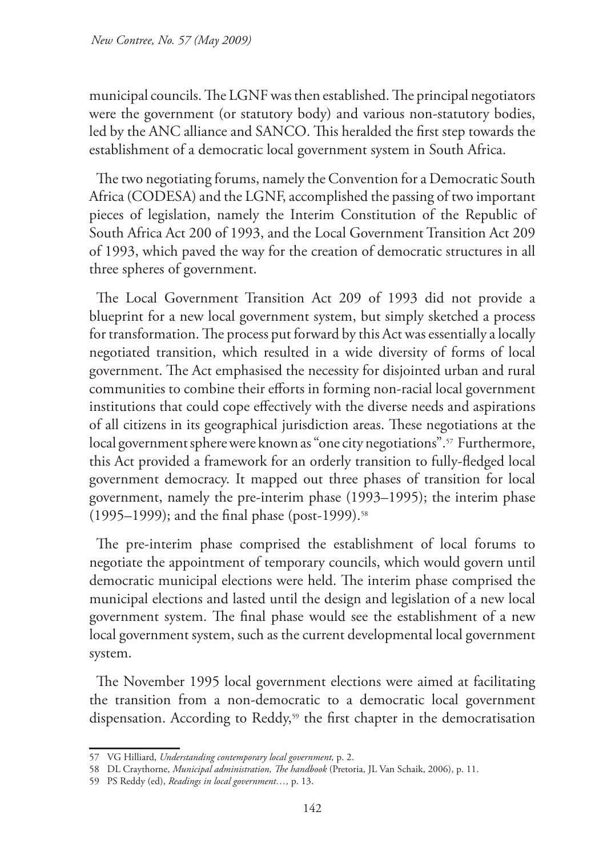municipal councils. The LGNF was then established. The principal negotiators were the government (or statutory body) and various non-statutory bodies, led by the ANC alliance and SANCO. This heralded the first step towards the establishment of a democratic local government system in South Africa.

The two negotiating forums, namely the Convention for a Democratic South Africa (CODESA) and the LGNF, accomplished the passing of two important pieces of legislation, namely the Interim Constitution of the Republic of South Africa Act 200 of 1993, and the Local Government Transition Act 209 of 1993, which paved the way for the creation of democratic structures in all three spheres of government.

The Local Government Transition Act 209 of 1993 did not provide a blueprint for a new local government system, but simply sketched a process for transformation. The process put forward by this Act was essentially a locally negotiated transition, which resulted in a wide diversity of forms of local government. The Act emphasised the necessity for disjointed urban and rural communities to combine their efforts in forming non-racial local government institutions that could cope effectively with the diverse needs and aspirations of all citizens in its geographical jurisdiction areas. These negotiations at the local government sphere were known as "one city negotiations".<sup>57</sup> Furthermore, this Act provided a framework for an orderly transition to fully-fledged local government democracy. It mapped out three phases of transition for local government, namely the pre-interim phase (1993–1995); the interim phase (1995–1999); and the final phase (post-1999).<sup>58</sup>

The pre-interim phase comprised the establishment of local forums to negotiate the appointment of temporary councils, which would govern until democratic municipal elections were held. The interim phase comprised the municipal elections and lasted until the design and legislation of a new local government system. The final phase would see the establishment of a new local government system, such as the current developmental local government system.

The November 1995 local government elections were aimed at facilitating the transition from a non-democratic to a democratic local government dispensation. According to Reddy,<sup>59</sup> the first chapter in the democratisation

<sup>57</sup> VG Hilliard, *Understanding contemporary local government,* p. 2.

<sup>58</sup> DL Craythorne, *Municipal administration, The handbook* (Pretoria, JL Van Schaik, 2006), p. 11.

<sup>59</sup> PS Reddy (ed), *Readings in local government…,* p. 13.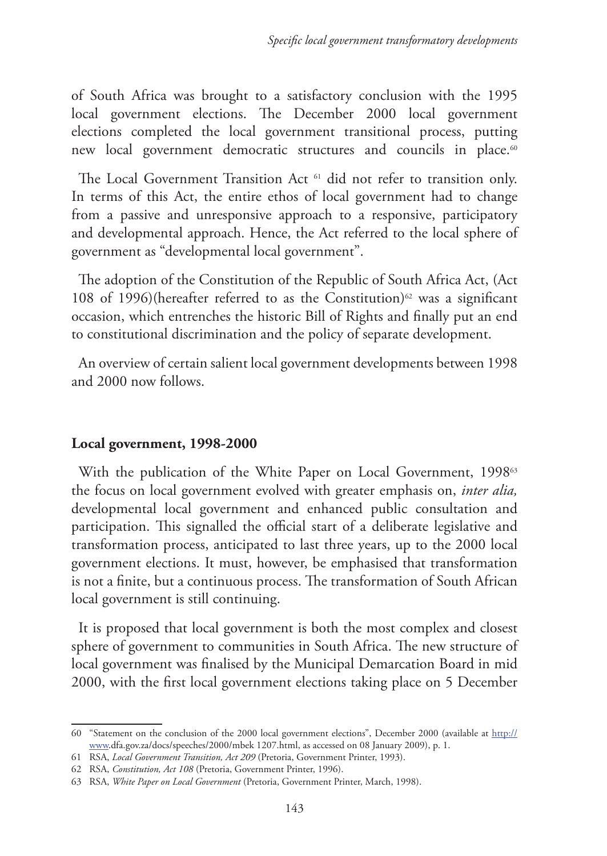of South Africa was brought to a satisfactory conclusion with the 1995 local government elections. The December 2000 local government elections completed the local government transitional process, putting new local government democratic structures and councils in place.<sup>60</sup>

The Local Government Transition Act <sup>61</sup> did not refer to transition only. In terms of this Act, the entire ethos of local government had to change from a passive and unresponsive approach to a responsive, participatory and developmental approach. Hence, the Act referred to the local sphere of government as "developmental local government".

The adoption of the Constitution of the Republic of South Africa Act, (Act 108 of 1996)(hereafter referred to as the Constitution)<sup>62</sup> was a significant occasion, which entrenches the historic Bill of Rights and finally put an end to constitutional discrimination and the policy of separate development.

An overview of certain salient local government developments between 1998 and 2000 now follows.

# **Local government, 1998-2000**

With the publication of the White Paper on Local Government, 1998<sup>63</sup> the focus on local government evolved with greater emphasis on, *inter alia,*  developmental local government and enhanced public consultation and participation. This signalled the official start of a deliberate legislative and transformation process, anticipated to last three years, up to the 2000 local government elections. It must, however, be emphasised that transformation is not a finite, but a continuous process. The transformation of South African local government is still continuing.

It is proposed that local government is both the most complex and closest sphere of government to communities in South Africa. The new structure of local government was finalised by the Municipal Demarcation Board in mid 2000, with the first local government elections taking place on 5 December

<sup>60</sup> "Statement on the conclusion of the 2000 local government elections", December 2000 (available at http:// www.dfa.gov.za/docs/speeches/2000/mbek 1207.html, as accessed on 08 January 2009), p. 1.

<sup>61</sup> RSA, *Local Government Transition, Act 209* (Pretoria, Government Printer, 1993).

<sup>62</sup> RSA, *Constitution, Act 108* (Pretoria, Government Printer, 1996).

<sup>63</sup> RSA, *White Paper on Local Government* (Pretoria, Government Printer, March, 1998).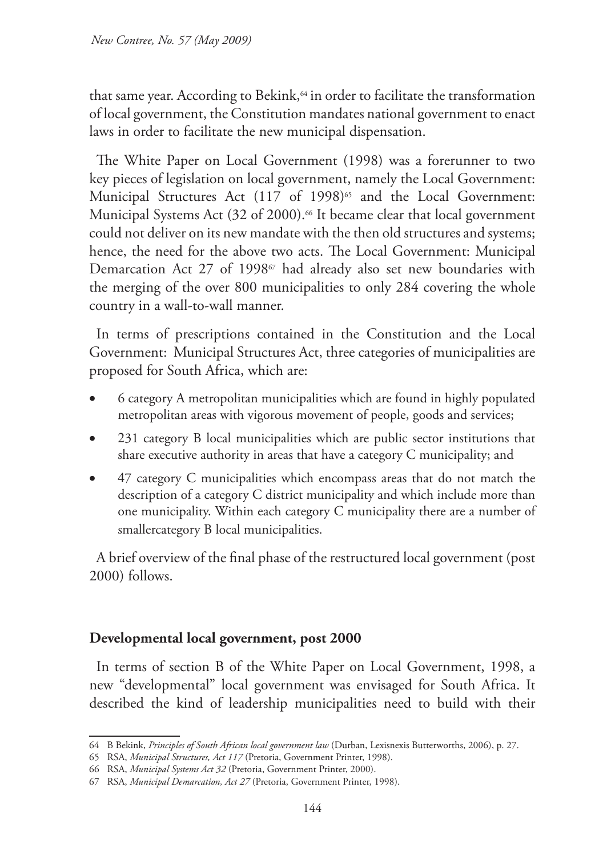that same year. According to Bekink,<sup>64</sup> in order to facilitate the transformation of local government, the Constitution mandates national government to enact laws in order to facilitate the new municipal dispensation.

The White Paper on Local Government (1998) was a forerunner to two key pieces of legislation on local government, namely the Local Government: Municipal Structures Act (117 of 1998)<sup>65</sup> and the Local Government: Municipal Systems Act (32 of 2000).<sup>66</sup> It became clear that local government could not deliver on its new mandate with the then old structures and systems; hence, the need for the above two acts. The Local Government: Municipal Demarcation Act 27 of 1998<sup>67</sup> had already also set new boundaries with the merging of the over 800 municipalities to only 284 covering the whole country in a wall-to-wall manner.

In terms of prescriptions contained in the Constitution and the Local Government: Municipal Structures Act, three categories of municipalities are proposed for South Africa, which are:

- 6 category A metropolitan municipalities which are found in highly populated metropolitan areas with vigorous movement of people, goods and services;
- 231 category B local municipalities which are public sector institutions that share executive authority in areas that have a category C municipality; and
- 47 category C municipalities which encompass areas that do not match the description of a category C district municipality and which include more than one municipality. Within each category C municipality there are a number of smallercategory B local municipalities.

A brief overview of the final phase of the restructured local government (post 2000) follows.

# **Developmental local government, post 2000**

In terms of section B of the White Paper on Local Government, 1998, a new "developmental" local government was envisaged for South Africa. It described the kind of leadership municipalities need to build with their

<sup>64</sup> B Bekink, *Principles of South African local government law* (Durban, Lexisnexis Butterworths, 2006), p. 27.

<sup>65</sup> RSA, *Municipal Structures, Act 117* (Pretoria, Government Printer, 1998).

<sup>66</sup> RSA, *Municipal Systems Act 32* (Pretoria, Government Printer, 2000).

<sup>67</sup> RSA, *Municipal Demarcation, Act 27* (Pretoria, Government Printer, 1998).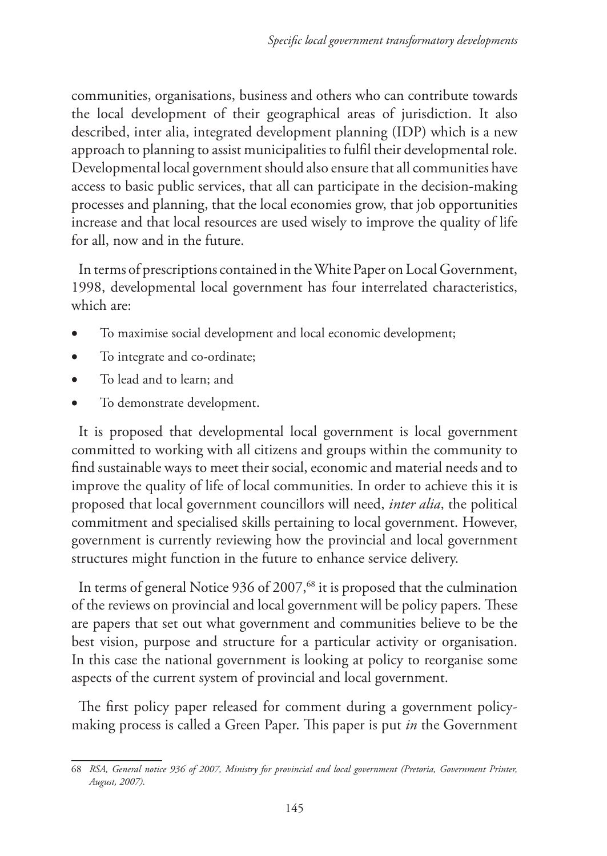communities, organisations, business and others who can contribute towards the local development of their geographical areas of jurisdiction. It also described, inter alia, integrated development planning (IDP) which is a new approach to planning to assist municipalities to fulfil their developmental role. Developmental local government should also ensure that all communities have access to basic public services, that all can participate in the decision-making processes and planning, that the local economies grow, that job opportunities increase and that local resources are used wisely to improve the quality of life for all, now and in the future.

In terms of prescriptions contained in the White Paper on Local Government, 1998, developmental local government has four interrelated characteristics, which are:

- To maximise social development and local economic development;
- To integrate and co-ordinate;
- To lead and to learn; and
- To demonstrate development.

It is proposed that developmental local government is local government committed to working with all citizens and groups within the community to find sustainable ways to meet their social, economic and material needs and to improve the quality of life of local communities. In order to achieve this it is proposed that local government councillors will need, *inter alia*, the political commitment and specialised skills pertaining to local government. However, government is currently reviewing how the provincial and local government structures might function in the future to enhance service delivery.

In terms of general Notice 936 of 2007,<sup>68</sup> it is proposed that the culmination of the reviews on provincial and local government will be policy papers. These are papers that set out what government and communities believe to be the best vision, purpose and structure for a particular activity or organisation. In this case the national government is looking at policy to reorganise some aspects of the current system of provincial and local government.

The first policy paper released for comment during a government policymaking process is called a Green Paper. This paper is put *in* the Government

<sup>68</sup> *RSA, General notice 936 of 2007, Ministry for provincial and local government (Pretoria, Government Printer, August, 2007).*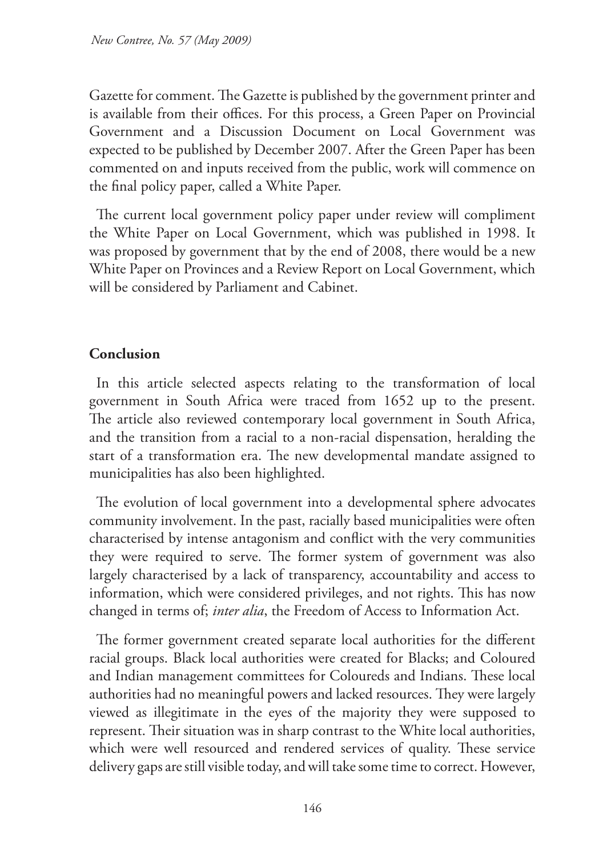Gazette for comment. The Gazette is published by the government printer and is available from their offices. For this process, a Green Paper on Provincial Government and a Discussion Document on Local Government was expected to be published by December 2007. After the Green Paper has been commented on and inputs received from the public, work will commence on the final policy paper, called a White Paper.

The current local government policy paper under review will compliment the White Paper on Local Government, which was published in 1998. It was proposed by government that by the end of 2008, there would be a new White Paper on Provinces and a Review Report on Local Government, which will be considered by Parliament and Cabinet.

# **Conclusion**

In this article selected aspects relating to the transformation of local government in South Africa were traced from 1652 up to the present. The article also reviewed contemporary local government in South Africa, and the transition from a racial to a non-racial dispensation, heralding the start of a transformation era. The new developmental mandate assigned to municipalities has also been highlighted.

The evolution of local government into a developmental sphere advocates community involvement. In the past, racially based municipalities were often characterised by intense antagonism and conflict with the very communities they were required to serve. The former system of government was also largely characterised by a lack of transparency, accountability and access to information, which were considered privileges, and not rights. This has now changed in terms of; *inter alia*, the Freedom of Access to Information Act.

The former government created separate local authorities for the different racial groups. Black local authorities were created for Blacks; and Coloured and Indian management committees for Coloureds and Indians. These local authorities had no meaningful powers and lacked resources. They were largely viewed as illegitimate in the eyes of the majority they were supposed to represent. Their situation was in sharp contrast to the White local authorities, which were well resourced and rendered services of quality. These service delivery gaps are still visible today, and will take some time to correct. However,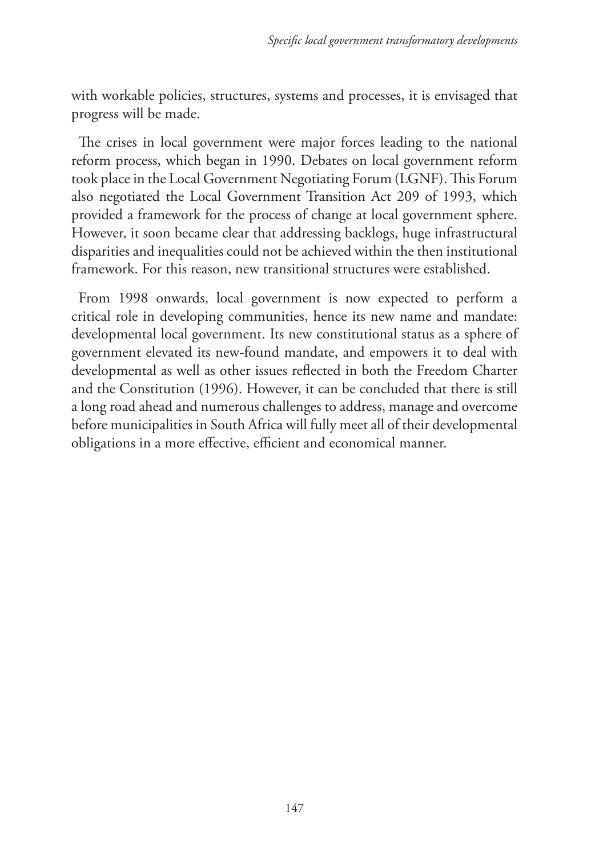with workable policies, structures, systems and processes, it is envisaged that progress will be made.

The crises in local government were major forces leading to the national reform process, which began in 1990. Debates on local government reform took place in the Local Government Negotiating Forum (LGNF). This Forum also negotiated the Local Government Transition Act 209 of 1993, which provided a framework for the process of change at local government sphere. However, it soon became clear that addressing backlogs, huge infrastructural disparities and inequalities could not be achieved within the then institutional framework. For this reason, new transitional structures were established.

From 1998 onwards, local government is now expected to perform a critical role in developing communities, hence its new name and mandate: developmental local government. Its new constitutional status as a sphere of government elevated its new-found mandate, and empowers it to deal with developmental as well as other issues reflected in both the Freedom Charter and the Constitution (1996). However, it can be concluded that there is still a long road ahead and numerous challenges to address, manage and overcome before municipalities in South Africa will fully meet all of their developmental obligations in a more effective, efficient and economical manner.